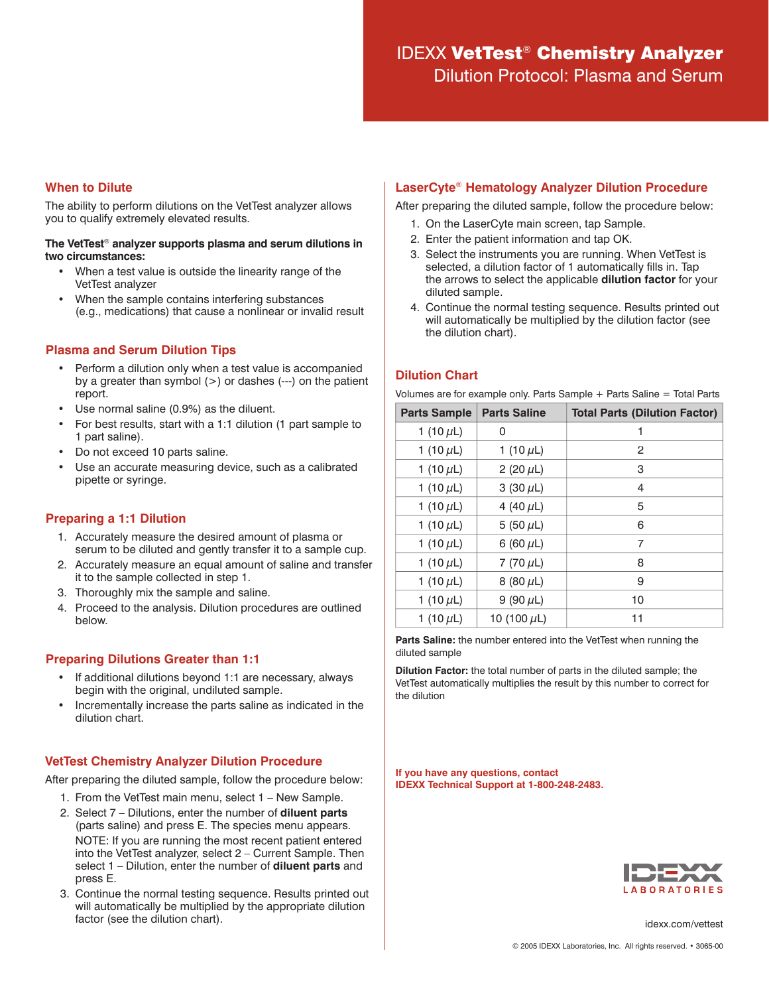# IDEXX VetTest® Chemistry Analyzer

Dilution Protocol: Plasma and Serum

## **When to Dilute**

The ability to perform dilutions on the VetTest analyzer allows you to qualify extremely elevated results.

#### **The VetTest**® **analyzer supports plasma and serum dilutions in two circumstances:**

- When a test value is outside the linearity range of the VetTest analyzer
- When the sample contains interfering substances (e.g., medications) that cause a nonlinear or invalid result

## **Plasma and Serum Dilution Tips**

- Perform a dilution only when a test value is accompanied by a greater than symbol  $(>)$  or dashes  $(---)$  on the patient report.
- Use normal saline (0.9%) as the diluent.
- For best results, start with a 1:1 dilution (1 part sample to 1 part saline).
- Do not exceed 10 parts saline.
- Use an accurate measuring device, such as a calibrated pipette or syringe.

## **Preparing a 1:1 Dilution**

- 1. Accurately measure the desired amount of plasma or serum to be diluted and gently transfer it to a sample cup.
- 2. Accurately measure an equal amount of saline and transfer it to the sample collected in step 1.
- 3. Thoroughly mix the sample and saline.
- 4. Proceed to the analysis. Dilution procedures are outlined below.

# **Preparing Dilutions Greater than 1:1**

- If additional dilutions beyond 1:1 are necessary, always begin with the original, undiluted sample.
- Incrementally increase the parts saline as indicated in the dilution chart.

# **VetTest Chemistry Analyzer Dilution Procedure**

After preparing the diluted sample, follow the procedure below:

- 1. From the VetTest main menu, select 1 New Sample.
- 2. Select 7 Dilutions, enter the number of **diluent parts** (parts saline) and press E. The species menu appears. NOTE: If you are running the most recent patient entered into the VetTest analyzer, select 2 – Current Sample. Then select 1 – Dilution, enter the number of **diluent parts** and press E.
- 3. Continue the normal testing sequence. Results printed out will automatically be multiplied by the appropriate dilution factor (see the dilution chart).

## **LaserCyte**® **Hematology Analyzer Dilution Procedure**

After preparing the diluted sample, follow the procedure below:

- 1. On the LaserCyte main screen, tap Sample.
- 2. Enter the patient information and tap OK.
- 3. Select the instruments you are running. When VetTest is selected, a dilution factor of 1 automatically fills in. Tap the arrows to select the applicable **dilution factor** for your diluted sample.
- 4. Continue the normal testing sequence. Results printed out will automatically be multiplied by the dilution factor (see the dilution chart).

# **Dilution Chart**

Volumes are for example only. Parts Sample + Parts Saline = Total Parts

| <b>Parts Sample</b> | <b>Parts Saline</b> | <b>Total Parts (Dilution Factor)</b> |
|---------------------|---------------------|--------------------------------------|
| 1 (10 $\mu$ L)      | 0                   |                                      |
| 1 (10 $\mu$ L)      | 1 (10 $\mu$ L)      | 2                                    |
| 1 (10 $\mu$ L)      | 2 (20 $\mu$ L)      | 3                                    |
| 1 (10 $\mu$ L)      | 3 (30 $\mu$ L)      | 4                                    |
| 1 (10 $\mu$ L)      | 4 (40 $\mu$ L)      | 5                                    |
| 1 (10 $\mu$ L)      | 5 $(50 \mu L)$      | 6                                    |
| 1 (10 $\mu$ L)      | 6 (60 $\mu$ L)      | $\overline{7}$                       |
| 1 (10 $\mu$ L)      | 7 (70 $\mu$ L)      | 8                                    |
| 1 (10 $\mu$ L)      | 8 (80 $\mu$ L)      | 9                                    |
| 1 (10 $\mu$ L)      | 9 $(90 \mu L)$      | 10                                   |
| 1 (10 $\mu$ L)      | 10 (100 $\mu$ L)    | 11                                   |

**Parts Saline:** the number entered into the VetTest when running the diluted sample

**Dilution Factor:** the total number of parts in the diluted sample; the VetTest automatically multiplies the result by this number to correct for the dilution

**If you have any questions, contact IDEXX Technical Support at 1-800-248-2483.**



idexx.com/vettest